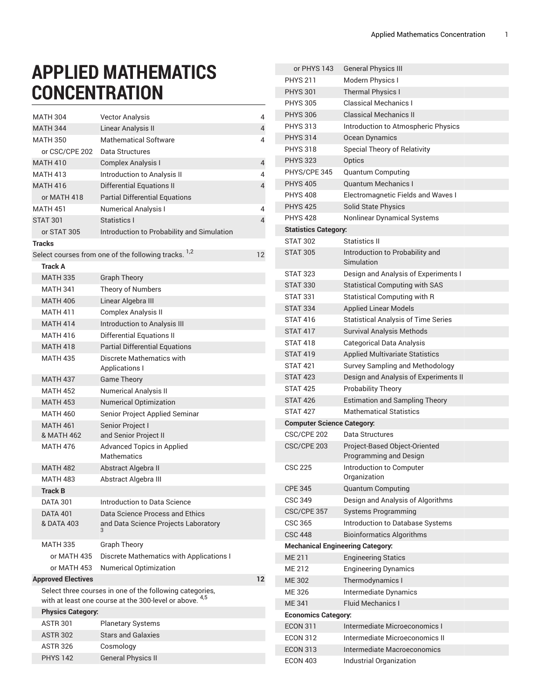## **APPLIED MATHEMATICS CONCENTRATION**

| <b>MATH 304</b>                                                                                                     | <b>Vector Analysis</b>                                          | 4                 |
|---------------------------------------------------------------------------------------------------------------------|-----------------------------------------------------------------|-------------------|
| <b>MATH 344</b>                                                                                                     | Linear Analysis II                                              | 4                 |
| <b>MATH 350</b>                                                                                                     | Mathematical Software                                           | 4                 |
| or CSC/CPE 202                                                                                                      | Data Structures                                                 |                   |
| <b>MATH 410</b>                                                                                                     | <b>Complex Analysis I</b>                                       | 4                 |
| <b>MATH 413</b>                                                                                                     | Introduction to Analysis II                                     | 4                 |
| <b>MATH 416</b>                                                                                                     | <b>Differential Equations II</b>                                | 4                 |
| or MATH 418                                                                                                         | <b>Partial Differential Equations</b>                           |                   |
| <b>MATH 451</b>                                                                                                     | <b>Numerical Analysis I</b>                                     | 4                 |
| <b>STAT 301</b>                                                                                                     | Statistics I                                                    | 4                 |
| or STAT 305                                                                                                         | Introduction to Probability and Simulation                      |                   |
| <b>Tracks</b>                                                                                                       |                                                                 |                   |
|                                                                                                                     | Select courses from one of the following tracks. <sup>1,2</sup> | $12 \overline{ }$ |
| <b>Track A</b>                                                                                                      |                                                                 |                   |
| <b>MATH 335</b>                                                                                                     | <b>Graph Theory</b>                                             |                   |
| <b>MATH 341</b>                                                                                                     | Theory of Numbers                                               |                   |
| <b>MATH 406</b>                                                                                                     | Linear Algebra III                                              |                   |
| <b>MATH 411</b>                                                                                                     | Complex Analysis II                                             |                   |
| <b>MATH 414</b>                                                                                                     | Introduction to Analysis III                                    |                   |
| <b>MATH 416</b>                                                                                                     | <b>Differential Equations II</b>                                |                   |
| <b>MATH 418</b>                                                                                                     | <b>Partial Differential Equations</b>                           |                   |
| <b>MATH 435</b>                                                                                                     | <b>Discrete Mathematics with</b>                                |                   |
|                                                                                                                     | Applications I                                                  |                   |
| <b>MATH 437</b>                                                                                                     | <b>Game Theory</b>                                              |                   |
| <b>MATH 452</b>                                                                                                     | <b>Numerical Analysis II</b>                                    |                   |
| <b>MATH 453</b>                                                                                                     | <b>Numerical Optimization</b>                                   |                   |
| <b>MATH 460</b>                                                                                                     | Senior Project Applied Seminar                                  |                   |
| <b>MATH 461</b>                                                                                                     | Senior Project I                                                |                   |
| & MATH 462                                                                                                          | and Senior Project II                                           |                   |
| <b>MATH 476</b>                                                                                                     | <b>Advanced Topics in Applied</b><br>Mathematics                |                   |
| <b>MATH 482</b>                                                                                                     | Abstract Algebra II                                             |                   |
| <b>MATH 483</b>                                                                                                     | Abstract Algebra III                                            |                   |
| <b>Track B</b>                                                                                                      |                                                                 |                   |
| <b>DATA 301</b>                                                                                                     | Introduction to Data Science                                    |                   |
| <b>DATA 401</b>                                                                                                     | Data Science Process and Ethics                                 |                   |
| & DATA 403                                                                                                          | and Data Science Projects Laboratory<br>3                       |                   |
| MATH 335                                                                                                            | <b>Graph Theory</b>                                             |                   |
| or MATH 435                                                                                                         | Discrete Mathematics with Applications I                        |                   |
| or MATH 453                                                                                                         | <b>Numerical Optimization</b>                                   |                   |
| <b>Approved Electives</b>                                                                                           |                                                                 | $12 \overline{ }$ |
| Select three courses in one of the following categories,<br>with at least one course at the 300-level or above. 4,5 |                                                                 |                   |
| <b>Physics Category:</b>                                                                                            |                                                                 |                   |
| <b>ASTR 301</b>                                                                                                     | <b>Planetary Systems</b>                                        |                   |
| <b>ASTR 302</b>                                                                                                     | <b>Stars and Galaxies</b>                                       |                   |
| <b>ASTR 326</b>                                                                                                     | Cosmology                                                       |                   |
| <b>PHYS 142</b>                                                                                                     | <b>General Physics II</b>                                       |                   |

| or PHYS 143                       | <b>General Physics III</b>                 |  |
|-----------------------------------|--------------------------------------------|--|
| <b>PHYS 211</b>                   | Modern Physics I                           |  |
| <b>PHYS 301</b>                   | <b>Thermal Physics I</b>                   |  |
| <b>PHYS 305</b>                   | <b>Classical Mechanics I</b>               |  |
| <b>PHYS 306</b>                   | <b>Classical Mechanics II</b>              |  |
| <b>PHYS 313</b>                   | Introduction to Atmospheric Physics        |  |
| <b>PHYS 314</b>                   | Ocean Dynamics                             |  |
| <b>PHYS 318</b>                   | Special Theory of Relativity               |  |
| <b>PHYS 323</b>                   | Optics                                     |  |
| PHYS/CPE 345                      | <b>Quantum Computing</b>                   |  |
| <b>PHYS 405</b>                   | <b>Quantum Mechanics I</b>                 |  |
| <b>PHYS 408</b>                   | Electromagnetic Fields and Waves I         |  |
| <b>PHYS 425</b>                   | <b>Solid State Physics</b>                 |  |
| <b>PHYS 428</b>                   | Nonlinear Dynamical Systems                |  |
| <b>Statistics Category:</b>       |                                            |  |
| <b>STAT 302</b>                   | Statistics II                              |  |
| <b>STAT 305</b>                   | Introduction to Probability and            |  |
|                                   | Simulation                                 |  |
| <b>STAT 323</b>                   | Design and Analysis of Experiments I       |  |
| <b>STAT 330</b>                   | <b>Statistical Computing with SAS</b>      |  |
| <b>STAT 331</b>                   | Statistical Computing with R               |  |
| <b>STAT 334</b>                   | <b>Applied Linear Models</b>               |  |
| <b>STAT 416</b>                   | <b>Statistical Analysis of Time Series</b> |  |
| <b>STAT 417</b>                   | <b>Survival Analysis Methods</b>           |  |
| <b>STAT 418</b>                   | <b>Categorical Data Analysis</b>           |  |
| <b>STAT 419</b>                   | <b>Applied Multivariate Statistics</b>     |  |
| <b>STAT 421</b>                   | Survey Sampling and Methodology            |  |
| <b>STAT 423</b>                   | Design and Analysis of Experiments II      |  |
| <b>STAT 425</b>                   | <b>Probability Theory</b>                  |  |
| <b>STAT 426</b>                   | <b>Estimation and Sampling Theory</b>      |  |
| <b>STAT 427</b>                   | <b>Mathematical Statistics</b>             |  |
| <b>Computer Science Category:</b> |                                            |  |
| CSC/CPE 202                       | Data Structures                            |  |
| CSC/CPE 203                       | Project-Based Object-Oriented              |  |
|                                   | Programming and Design                     |  |
| <b>CSC 225</b>                    | Introduction to Computer                   |  |
|                                   | Organization                               |  |
| <b>CPE 345</b>                    | <b>Quantum Computing</b>                   |  |
| <b>CSC 349</b>                    | Design and Analysis of Algorithms          |  |
| CSC/CPE 357                       | <b>Systems Programming</b>                 |  |
| CSC 365                           | Introduction to Database Systems           |  |
| <b>CSC 448</b>                    | <b>Bioinformatics Algorithms</b>           |  |
|                                   | <b>Mechanical Engineering Category:</b>    |  |
| <b>ME 211</b>                     | <b>Engineering Statics</b>                 |  |
| <b>ME 212</b>                     | <b>Engineering Dynamics</b>                |  |
| <b>ME 302</b>                     | Thermodynamics I                           |  |
| ME 326                            | Intermediate Dynamics                      |  |
| <b>ME 341</b>                     | <b>Fluid Mechanics I</b>                   |  |
| <b>Economics Category:</b>        |                                            |  |
| <b>ECON 311</b>                   | Intermediate Microeconomics I              |  |
| <b>ECON 312</b>                   | Intermediate Microeconomics II             |  |
| <b>ECON 313</b>                   | Intermediate Macroeconomics                |  |
| <b>ECON 403</b>                   | Industrial Organization                    |  |